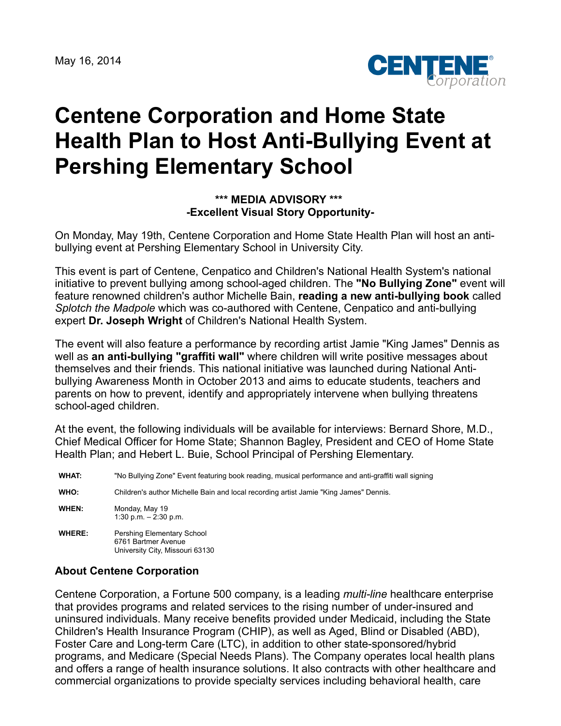May 16, 2014



## **Centene Corporation and Home State Health Plan to Host Anti-Bullying Event at Pershing Elementary School**

## **\*\*\* MEDIA ADVISORY \*\*\* -Excellent Visual Story Opportunity-**

On Monday, May 19th, Centene Corporation and Home State Health Plan will host an antibullying event at Pershing Elementary School in University City.

This event is part of Centene, Cenpatico and Children's National Health System's national initiative to prevent bullying among school-aged children. The **"No Bullying Zone"** event will feature renowned children's author Michelle Bain, **reading a new anti-bullying book** called *Splotch the Madpole* which was co-authored with Centene, Cenpatico and anti-bullying expert **Dr. Joseph Wright** of Children's National Health System.

The event will also feature a performance by recording artist Jamie "King James" Dennis as well as **an anti-bullying "graffiti wall"** where children will write positive messages about themselves and their friends. This national initiative was launched during National Antibullying Awareness Month in October 2013 and aims to educate students, teachers and parents on how to prevent, identify and appropriately intervene when bullying threatens school-aged children.

At the event, the following individuals will be available for interviews: Bernard Shore, M.D., Chief Medical Officer for Home State; Shannon Bagley, President and CEO of Home State Health Plan; and Hebert L. Buie, School Principal of Pershing Elementary.

**WHAT:** "No Bullying Zone" Event featuring book reading, musical performance and anti-graffiti wall signing **WHO:** Children's author Michelle Bain and local recording artist Jamie "King James" Dennis. **WHEN:** Monday, May 19 1:30 p.m. – 2:30 p.m. WHERE: Pershing Elementary School 6761 Bartmer Avenue University City, Missouri 63130

## **About Centene Corporation**

Centene Corporation, a Fortune 500 company, is a leading *multi-line* healthcare enterprise that provides programs and related services to the rising number of under-insured and uninsured individuals. Many receive benefits provided under Medicaid, including the State Children's Health Insurance Program (CHIP), as well as Aged, Blind or Disabled (ABD), Foster Care and Long-term Care (LTC), in addition to other state-sponsored/hybrid programs, and Medicare (Special Needs Plans). The Company operates local health plans and offers a range of health insurance solutions. It also contracts with other healthcare and commercial organizations to provide specialty services including behavioral health, care